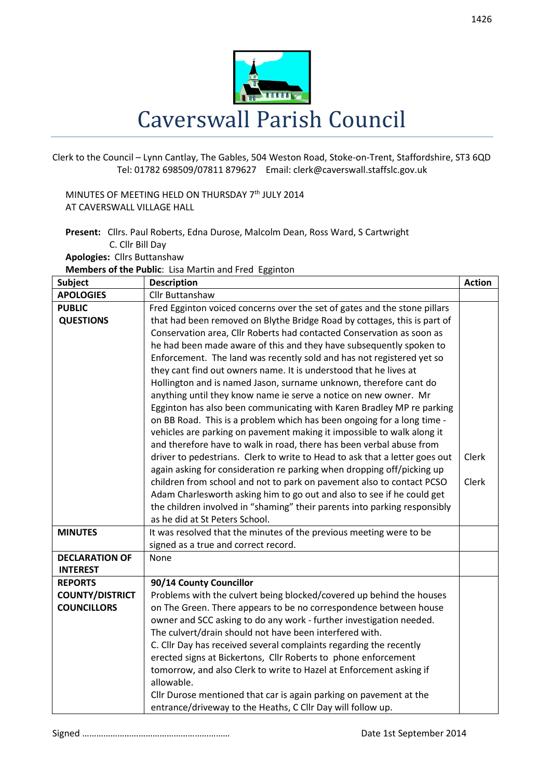

Clerk to the Council – Lynn Cantlay, The Gables, 504 Weston Road, Stoke-on-Trent, Staffordshire, ST3 6QD Tel: 01782 698509/07811 879627 Email: clerk@caverswall.staffslc.gov.uk

MINUTES OF MEETING HELD ON THURSDAY 7<sup>th</sup> JULY 2014 AT CAVERSWALL VILLAGE HALL

**Present:** Cllrs. Paul Roberts, Edna Durose, Malcolm Dean, Ross Ward, S Cartwright C. Cllr Bill Day **Apologies:** Cllrs Buttanshaw

**Members of the Public**: Lisa Martin and Fred Egginton

| Subject                | <b>Description</b>                                                          | <b>Action</b> |
|------------------------|-----------------------------------------------------------------------------|---------------|
| <b>APOLOGIES</b>       | Cllr Buttanshaw                                                             |               |
| <b>PUBLIC</b>          | Fred Egginton voiced concerns over the set of gates and the stone pillars   |               |
| <b>QUESTIONS</b>       | that had been removed on Blythe Bridge Road by cottages, this is part of    |               |
|                        | Conservation area, Cllr Roberts had contacted Conservation as soon as       |               |
|                        | he had been made aware of this and they have subsequently spoken to         |               |
|                        | Enforcement. The land was recently sold and has not registered yet so       |               |
|                        | they cant find out owners name. It is understood that he lives at           |               |
|                        | Hollington and is named Jason, surname unknown, therefore cant do           |               |
|                        | anything until they know name ie serve a notice on new owner. Mr            |               |
|                        | Egginton has also been communicating with Karen Bradley MP re parking       |               |
|                        | on BB Road. This is a problem which has been ongoing for a long time -      |               |
|                        | vehicles are parking on pavement making it impossible to walk along it      |               |
|                        | and therefore have to walk in road, there has been verbal abuse from        |               |
|                        | driver to pedestrians. Clerk to write to Head to ask that a letter goes out | Clerk         |
|                        | again asking for consideration re parking when dropping off/picking up      |               |
|                        | children from school and not to park on pavement also to contact PCSO       | Clerk         |
|                        | Adam Charlesworth asking him to go out and also to see if he could get      |               |
|                        | the children involved in "shaming" their parents into parking responsibly   |               |
|                        | as he did at St Peters School.                                              |               |
| <b>MINUTES</b>         | It was resolved that the minutes of the previous meeting were to be         |               |
| <b>DECLARATION OF</b>  | signed as a true and correct record.<br>None                                |               |
| <b>INTEREST</b>        |                                                                             |               |
| <b>REPORTS</b>         | 90/14 County Councillor                                                     |               |
| <b>COUNTY/DISTRICT</b> | Problems with the culvert being blocked/covered up behind the houses        |               |
| <b>COUNCILLORS</b>     | on The Green. There appears to be no correspondence between house           |               |
|                        | owner and SCC asking to do any work - further investigation needed.         |               |
|                        | The culvert/drain should not have been interfered with.                     |               |
|                        | C. Cllr Day has received several complaints regarding the recently          |               |
|                        | erected signs at Bickertons, Cllr Roberts to phone enforcement              |               |
|                        | tomorrow, and also Clerk to write to Hazel at Enforcement asking if         |               |
|                        | allowable.                                                                  |               |
|                        | Cllr Durose mentioned that car is again parking on pavement at the          |               |
|                        | entrance/driveway to the Heaths, C Cllr Day will follow up.                 |               |

Signed ……………………………………………………… Date 1st September 2014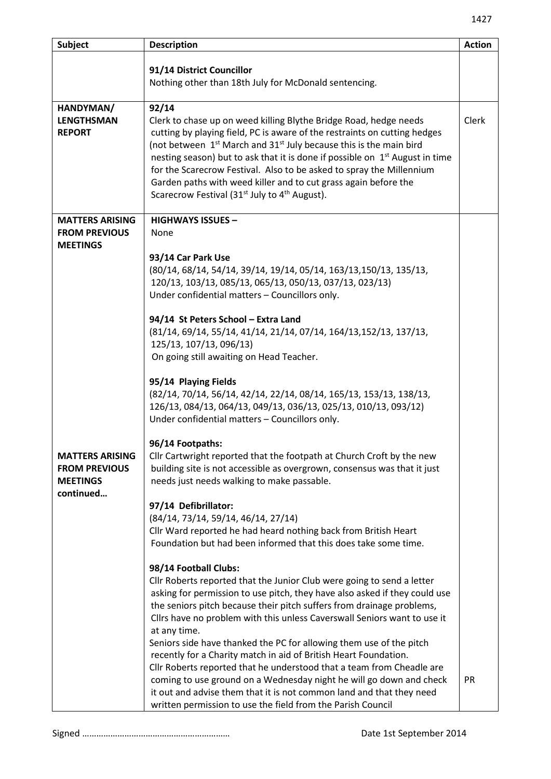| Subject                                                                        | <b>Description</b>                                                                                                                                                                                                                                                                                                                                                                                                                                                                                                                                                                                                                                                                                                                                                                                                                                                                                                                                                                                                                                                                                                                                                                                                                                                                                                                                                                                                                                                    | <b>Action</b> |
|--------------------------------------------------------------------------------|-----------------------------------------------------------------------------------------------------------------------------------------------------------------------------------------------------------------------------------------------------------------------------------------------------------------------------------------------------------------------------------------------------------------------------------------------------------------------------------------------------------------------------------------------------------------------------------------------------------------------------------------------------------------------------------------------------------------------------------------------------------------------------------------------------------------------------------------------------------------------------------------------------------------------------------------------------------------------------------------------------------------------------------------------------------------------------------------------------------------------------------------------------------------------------------------------------------------------------------------------------------------------------------------------------------------------------------------------------------------------------------------------------------------------------------------------------------------------|---------------|
|                                                                                | 91/14 District Councillor<br>Nothing other than 18th July for McDonald sentencing.                                                                                                                                                                                                                                                                                                                                                                                                                                                                                                                                                                                                                                                                                                                                                                                                                                                                                                                                                                                                                                                                                                                                                                                                                                                                                                                                                                                    |               |
| HANDYMAN/<br><b>LENGTHSMAN</b><br><b>REPORT</b>                                | 92/14<br>Clerk to chase up on weed killing Blythe Bridge Road, hedge needs<br>cutting by playing field, PC is aware of the restraints on cutting hedges<br>(not between 1 <sup>st</sup> March and 31 <sup>st</sup> July because this is the main bird<br>nesting season) but to ask that it is done if possible on 1 <sup>st</sup> August in time<br>for the Scarecrow Festival. Also to be asked to spray the Millennium<br>Garden paths with weed killer and to cut grass again before the<br>Scarecrow Festival (31 <sup>st</sup> July to 4 <sup>th</sup> August).                                                                                                                                                                                                                                                                                                                                                                                                                                                                                                                                                                                                                                                                                                                                                                                                                                                                                                 | <b>Clerk</b>  |
| <b>MATTERS ARISING</b><br><b>FROM PREVIOUS</b><br><b>MEETINGS</b>              | <b>HIGHWAYS ISSUES -</b><br>None                                                                                                                                                                                                                                                                                                                                                                                                                                                                                                                                                                                                                                                                                                                                                                                                                                                                                                                                                                                                                                                                                                                                                                                                                                                                                                                                                                                                                                      |               |
| <b>MATTERS ARISING</b><br><b>FROM PREVIOUS</b><br><b>MEETINGS</b><br>continued | 93/14 Car Park Use<br>(80/14, 68/14, 54/14, 39/14, 19/14, 05/14, 163/13, 150/13, 135/13,<br>120/13, 103/13, 085/13, 065/13, 050/13, 037/13, 023/13)<br>Under confidential matters - Councillors only.<br>94/14 St Peters School - Extra Land<br>(81/14, 69/14, 55/14, 41/14, 21/14, 07/14, 164/13, 152/13, 137/13,<br>125/13, 107/13, 096/13)<br>On going still awaiting on Head Teacher.<br>95/14 Playing Fields<br>(82/14, 70/14, 56/14, 42/14, 22/14, 08/14, 165/13, 153/13, 138/13,<br>126/13, 084/13, 064/13, 049/13, 036/13, 025/13, 010/13, 093/12)<br>Under confidential matters - Councillors only.<br>96/14 Footpaths:<br>Cllr Cartwright reported that the footpath at Church Croft by the new<br>building site is not accessible as overgrown, consensus was that it just<br>needs just needs walking to make passable.<br>97/14 Defibrillator:<br>(84/14, 73/14, 59/14, 46/14, 27/14)<br>Cllr Ward reported he had heard nothing back from British Heart<br>Foundation but had been informed that this does take some time.<br>98/14 Football Clubs:<br>Cllr Roberts reported that the Junior Club were going to send a letter<br>asking for permission to use pitch, they have also asked if they could use<br>the seniors pitch because their pitch suffers from drainage problems,<br>Cllrs have no problem with this unless Caverswall Seniors want to use it<br>at any time.<br>Seniors side have thanked the PC for allowing them use of the pitch |               |
|                                                                                | recently for a Charity match in aid of British Heart Foundation.<br>Cllr Roberts reported that he understood that a team from Cheadle are<br>coming to use ground on a Wednesday night he will go down and check<br>it out and advise them that it is not common land and that they need<br>written permission to use the field from the Parish Council                                                                                                                                                                                                                                                                                                                                                                                                                                                                                                                                                                                                                                                                                                                                                                                                                                                                                                                                                                                                                                                                                                               | <b>PR</b>     |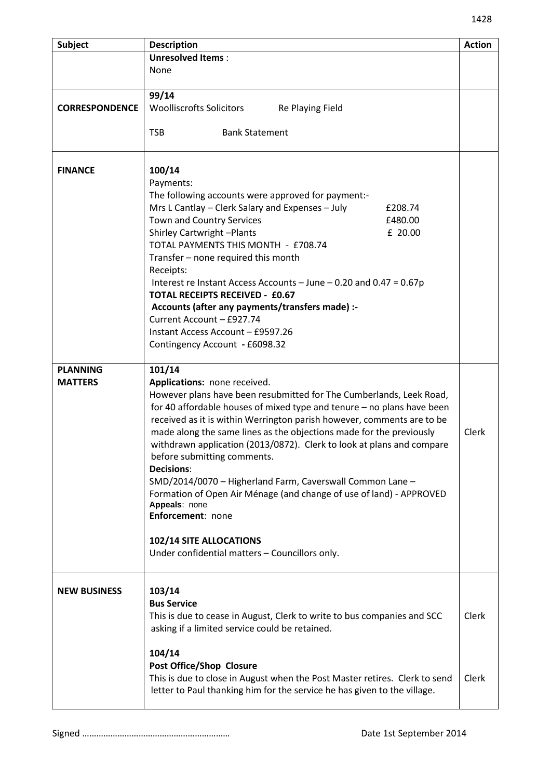| <b>Subject</b>        | <b>Description</b>                                                         | <b>Action</b> |
|-----------------------|----------------------------------------------------------------------------|---------------|
|                       | <b>Unresolved Items:</b>                                                   |               |
|                       | None                                                                       |               |
|                       |                                                                            |               |
|                       | 99/14                                                                      |               |
| <b>CORRESPONDENCE</b> | <b>Woolliscrofts Solicitors</b><br>Re Playing Field                        |               |
|                       |                                                                            |               |
|                       | <b>TSB</b><br><b>Bank Statement</b>                                        |               |
|                       |                                                                            |               |
|                       |                                                                            |               |
| <b>FINANCE</b>        | 100/14                                                                     |               |
|                       | Payments:                                                                  |               |
|                       | The following accounts were approved for payment:-                         |               |
|                       | Mrs L Cantlay - Clerk Salary and Expenses - July<br>£208.74                |               |
|                       | Town and Country Services<br>£480.00                                       |               |
|                       | <b>Shirley Cartwright-Plants</b><br>£ 20.00                                |               |
|                       | TOTAL PAYMENTS THIS MONTH - £708.74                                        |               |
|                       | Transfer - none required this month                                        |               |
|                       | Receipts:                                                                  |               |
|                       | Interest re Instant Access Accounts – June – 0.20 and 0.47 = $0.67p$       |               |
|                       | <b>TOTAL RECEIPTS RECEIVED - £0.67</b>                                     |               |
|                       | Accounts (after any payments/transfers made) :-                            |               |
|                       | Current Account - £927.74                                                  |               |
|                       | Instant Access Account - £9597.26                                          |               |
|                       | Contingency Account - £6098.32                                             |               |
|                       |                                                                            |               |
| <b>PLANNING</b>       | 101/14                                                                     |               |
| <b>MATTERS</b>        | Applications: none received.                                               |               |
|                       | However plans have been resubmitted for The Cumberlands, Leek Road,        |               |
|                       | for 40 affordable houses of mixed type and tenure – no plans have been     |               |
|                       | received as it is within Werrington parish however, comments are to be     |               |
|                       | made along the same lines as the objections made for the previously        | Clerk         |
|                       | withdrawn application (2013/0872). Clerk to look at plans and compare      |               |
|                       | before submitting comments.                                                |               |
|                       | <b>Decisions:</b>                                                          |               |
|                       | SMD/2014/0070 - Higherland Farm, Caverswall Common Lane -                  |               |
|                       | Formation of Open Air Ménage (and change of use of land) - APPROVED        |               |
|                       | Appeals: none                                                              |               |
|                       | Enforcement: none                                                          |               |
|                       |                                                                            |               |
|                       | 102/14 SITE ALLOCATIONS                                                    |               |
|                       | Under confidential matters - Councillors only.                             |               |
|                       |                                                                            |               |
|                       |                                                                            |               |
| <b>NEW BUSINESS</b>   | 103/14                                                                     |               |
|                       | <b>Bus Service</b>                                                         |               |
|                       | This is due to cease in August, Clerk to write to bus companies and SCC    | Clerk         |
|                       | asking if a limited service could be retained.                             |               |
|                       |                                                                            |               |
|                       | 104/14                                                                     |               |
|                       | <b>Post Office/Shop Closure</b>                                            |               |
|                       | This is due to close in August when the Post Master retires. Clerk to send | Clerk         |
|                       | letter to Paul thanking him for the service he has given to the village.   |               |
|                       |                                                                            |               |